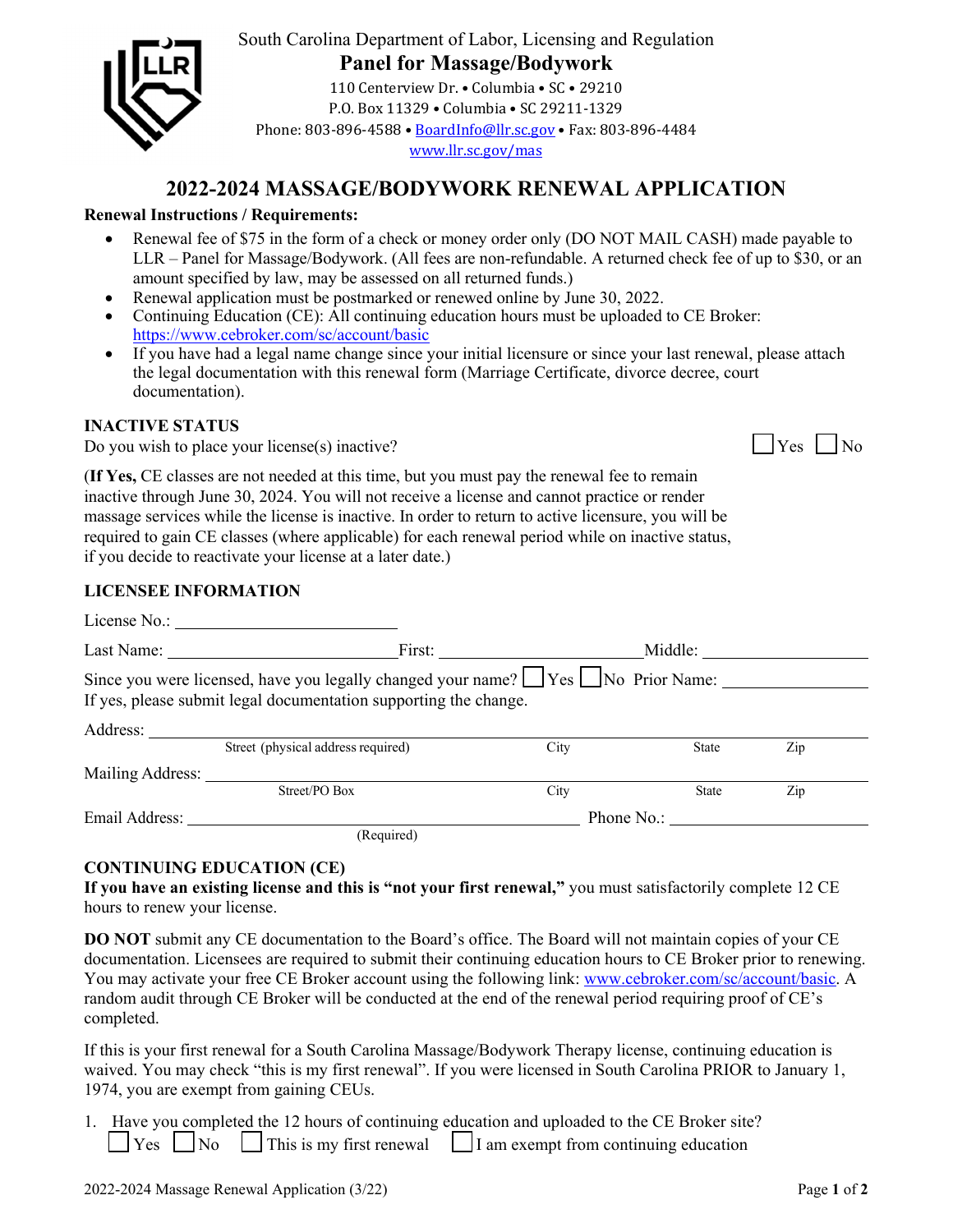

# South Carolina Department of Labor, Licensing and Regulation **Panel for Massage/Bodywork**

110 Centerview Dr. • Columbia • SC • 29210 P.O. Box 11329 • Columbia • SC 29211-1329 Phone: 803-896-4588 • BoardInfo@llr.sc.gov • Fax: 803-896-4484 www.llr.sc.gov/mas

# **2022-2024 MASSAGE/BODYWORK RENEWAL APPLICATION**

## **Renewal Instructions / Requirements:**

- Renewal fee of \$75 in the form of a check or money order only (DO NOT MAIL CASH) made payable to LLR – Panel for Massage/Bodywork. (All fees are non-refundable. A returned check fee of up to \$30, or an amount specified by law, may be assessed on all returned funds.)
- Renewal application must be postmarked or renewed online by June 30, 2022.
- Continuing Education (CE): All continuing education hours must be uploaded to CE Broker: https://www.cebroker.com/sc/account/basic
- If you have had a legal name change since your initial licensure or since your last renewal, please attach the legal documentation with this renewal form (Marriage Certificate, divorce decree, court documentation).

#### **INACTIVE STATUS**

Do you wish to place your license $(s)$  inactive?

|--|--|--|

(**If Yes,** CE classes are not needed at this time, but you must pay the renewal fee to remain inactive through June 30, 2024. You will not receive a license and cannot practice or render massage services while the license is inactive. In order to return to active licensure, you will be required to gain CE classes (where applicable) for each renewal period while on inactive status, if you decide to reactivate your license at a later date.)

### **LICENSEE INFORMATION**

|                  | Since you were licensed, have you legally changed your name? These No Prior Name:<br>If yes, please submit legal documentation supporting the change. |      |              |     |
|------------------|-------------------------------------------------------------------------------------------------------------------------------------------------------|------|--------------|-----|
| Address:         |                                                                                                                                                       |      |              |     |
|                  | Street (physical address required)                                                                                                                    | City | <b>State</b> | Zip |
| Mailing Address: |                                                                                                                                                       |      |              |     |
|                  | Street/PO Box                                                                                                                                         | City | <b>State</b> | Zip |
| Email Address:   |                                                                                                                                                       |      | Phone No.:   |     |
|                  | (Required)                                                                                                                                            |      |              |     |

### **CONTINUING EDUCATION (CE)**

**If you have an existing license and this is "not your first renewal,"** you must satisfactorily complete 12 CE hours to renew your license.

**DO NOT** submit any CE documentation to the Board's office. The Board will not maintain copies of your CE documentation. Licensees are required to submit their continuing education hours to CE Broker prior to renewing. You may activate your free CE Broker account using the following link: www.cebroker.com/sc/account/basic. A random audit through CE Broker will be conducted at the end of the renewal period requiring proof of CE's completed.

If this is your first renewal for a South Carolina Massage/Bodywork Therapy license, continuing education is waived. You may check "this is my first renewal". If you were licensed in South Carolina PRIOR to January 1, 1974, you are exempt from gaining CEUs.

1. Have you completed the 12 hours of continuing education and uploaded to the CE Broker site?  $\Box$  Yes  $\Box$  No  $\Box$  This is my first renewal  $\Box$  I am exempt from continuing education